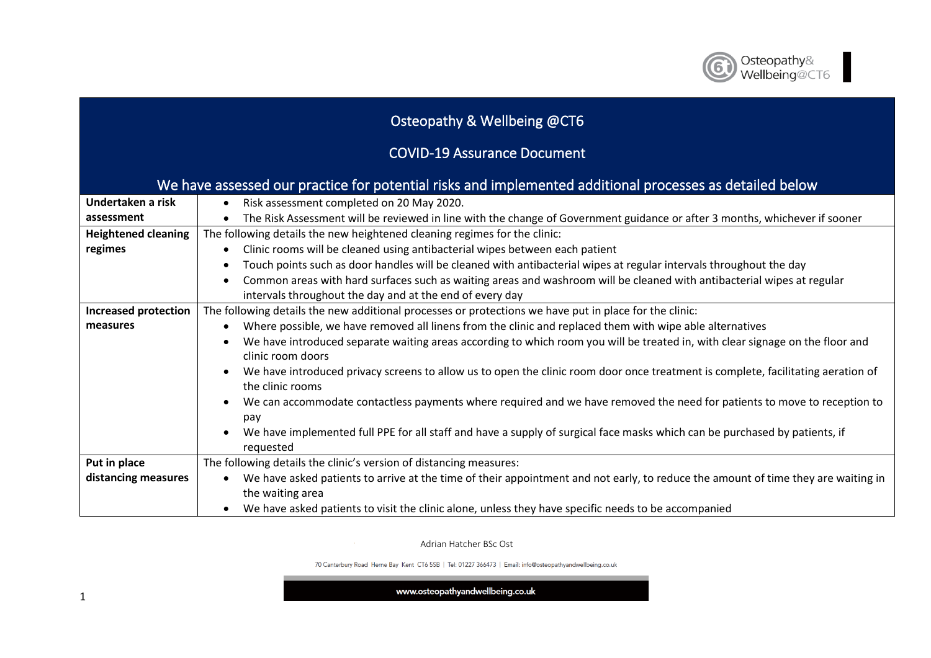

## Osteopathy & Wellbeing @CT6

## COVID-19 Assurance Document

| We have assessed our practice for potential risks and implemented additional processes as detailed below |                                                                                                                                                |  |
|----------------------------------------------------------------------------------------------------------|------------------------------------------------------------------------------------------------------------------------------------------------|--|
| Undertaken a risk                                                                                        | Risk assessment completed on 20 May 2020.<br>$\bullet$                                                                                         |  |
| assessment                                                                                               | The Risk Assessment will be reviewed in line with the change of Government guidance or after 3 months, whichever if sooner<br>$\bullet$        |  |
| <b>Heightened cleaning</b>                                                                               | The following details the new heightened cleaning regimes for the clinic:                                                                      |  |
| regimes                                                                                                  | Clinic rooms will be cleaned using antibacterial wipes between each patient<br>$\bullet$                                                       |  |
|                                                                                                          | Touch points such as door handles will be cleaned with antibacterial wipes at regular intervals throughout the day<br>$\bullet$                |  |
|                                                                                                          | Common areas with hard surfaces such as waiting areas and washroom will be cleaned with antibacterial wipes at regular<br>$\bullet$            |  |
|                                                                                                          | intervals throughout the day and at the end of every day                                                                                       |  |
| <b>Increased protection</b>                                                                              | The following details the new additional processes or protections we have put in place for the clinic:                                         |  |
| measures                                                                                                 | Where possible, we have removed all linens from the clinic and replaced them with wipe able alternatives<br>$\bullet$                          |  |
|                                                                                                          | We have introduced separate waiting areas according to which room you will be treated in, with clear signage on the floor and<br>$\bullet$     |  |
|                                                                                                          | clinic room doors                                                                                                                              |  |
|                                                                                                          | We have introduced privacy screens to allow us to open the clinic room door once treatment is complete, facilitating aeration of<br>$\bullet$  |  |
|                                                                                                          | the clinic rooms                                                                                                                               |  |
|                                                                                                          | We can accommodate contactless payments where required and we have removed the need for patients to move to reception to                       |  |
|                                                                                                          | pay                                                                                                                                            |  |
|                                                                                                          | We have implemented full PPE for all staff and have a supply of surgical face masks which can be purchased by patients, if<br>requested        |  |
| Put in place                                                                                             | The following details the clinic's version of distancing measures:                                                                             |  |
| distancing measures                                                                                      | We have asked patients to arrive at the time of their appointment and not early, to reduce the amount of time they are waiting in<br>$\bullet$ |  |
|                                                                                                          | the waiting area                                                                                                                               |  |
|                                                                                                          | We have asked patients to visit the clinic alone, unless they have specific needs to be accompanied                                            |  |

Adrian Hatcher BSc Ost

70 Canterbury Road Herne Bay Kent CT6 5SB | Tel: 01227 366473 | Email: info@osteopathyandwellbeing.co.uk

www.osteopathyandwellbeing.co.uk